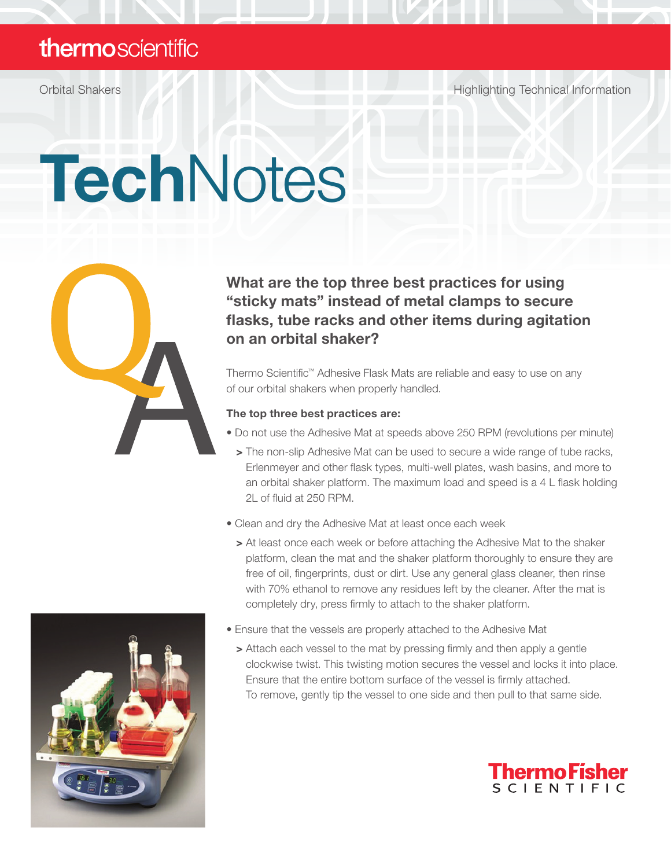### thermoscientific

Orbital Shakers Highlighting Technical Information

# **TechNotes**



### What are the top three best practices for using "sticky mats" instead of metal clamps to secure flasks, tube racks and other items during agitation on an orbital shaker?

Thermo Scientific™ Adhesive Flask Mats are reliable and easy to use on any of our orbital shakers when properly handled.

### The top three best practices are:

• Do not use the Adhesive Mat at speeds above 250 RPM (revolutions per minute)

- > The non-slip Adhesive Mat can be used to secure a wide range of tube racks, Erlenmeyer and other flask types, multi-well plates, wash basins, and more to an orbital shaker platform. The maximum load and speed is a 4 L flask holding 2L of fluid at 250 RPM.
- Clean and dry the Adhesive Mat at least once each week
	- > At least once each week or before attaching the Adhesive Mat to the shaker platform, clean the mat and the shaker platform thoroughly to ensure they are free of oil, fingerprints, dust or dirt. Use any general glass cleaner, then rinse with 70% ethanol to remove any residues left by the cleaner. After the mat is completely dry, press firmly to attach to the shaker platform.



> Attach each vessel to the mat by pressing firmly and then apply a gentle clockwise twist. This twisting motion secures the vessel and locks it into place. Ensure that the entire bottom surface of the vessel is firmly attached. To remove, gently tip the vessel to one side and then pull to that same side.